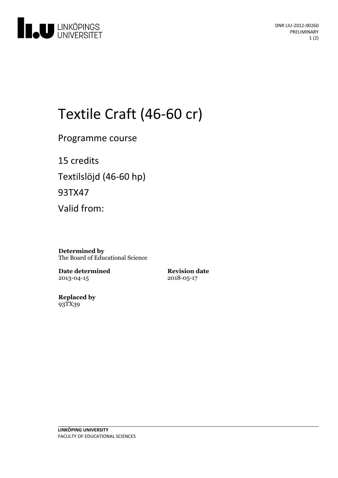

# Textile Craft (46-60 cr)

Programme course

15 credits Textilslöjd (46-60 hp) 93TX47 Valid from:

**Determined by** The Board of Educational Science

**Date determined** 2013-04-15

**Revision date** 2018-05-17

**Replaced by** 93TX39